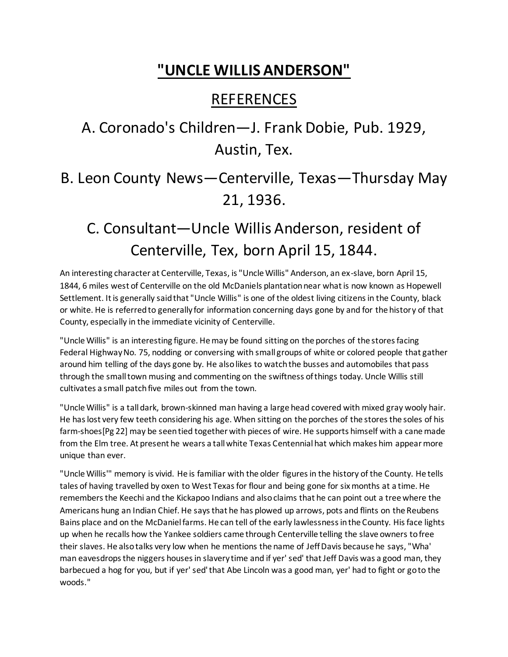## **"UNCLE WILLIS ANDERSON"**

## REFERENCES

## A. Coronado's Children—J. Frank Dobie, Pub. 1929, Austin, Tex.

B. Leon County News—Centerville, Texas—Thursday May 21, 1936.

## C. Consultant—Uncle Willis Anderson, resident of Centerville, Tex, born April 15, 1844.

An interesting character at Centerville, Texas, is "Uncle Willis" Anderson, an ex-slave, born April 15, 1844, 6 miles west of Centerville on the old McDaniels plantation near what is now known as Hopewell Settlement. It is generally said that "Uncle Willis" is one of the oldest living citizens in the County, black or white. He is referred to generally for information concerning days gone by and for the history of that County, especially in the immediate vicinity of Centerville.

"Uncle Willis" is an interesting figure. He may be found sitting on the porches of the stores facing Federal Highway No. 75, nodding or conversing with small groups of white or colored people that gather around him telling of the days gone by. He also likes to watch the busses and automobiles that pass through the small town musing and commenting on the swiftness of things today. Uncle Willis still cultivates a small patch five miles out from the town.

"Uncle Willis" is a tall dark, brown-skinned man having a large head covered with mixed gray wooly hair. He has lost very few teeth considering his age. When sitting on the porches of the stores the soles of his farm-shoes[Pg 22] may be seen tied together with pieces of wire. He supports himself with a cane made from the Elm tree. At present he wears a tall white Texas Centennial hat which makes him appear more unique than ever.

"Uncle Willis'" memory is vivid. He is familiar with the older figures in the history of the County. He tells tales of having travelled by oxen to West Texas for flour and being gone for six months at a time. He remembers the Keechi and the Kickapoo Indians and also claims that he can point out a tree where the Americans hung an Indian Chief. He says that he has plowed up arrows, pots and flints on the Reubens Bains place and on the McDaniel farms. He can tell of the early lawlessness in the County. His face lights up when he recalls how the Yankee soldiers came through Centerville telling the slave owners to free their slaves. He also talks very low when he mentions the name of Jeff Davis because he says, "Wha' man eavesdrops the niggers houses in slavery time and if yer' sed' that Jeff Davis was a good man, they barbecued a hog for you, but if yer' sed' that Abe Lincoln was a good man, yer' had to fight or go to the woods."